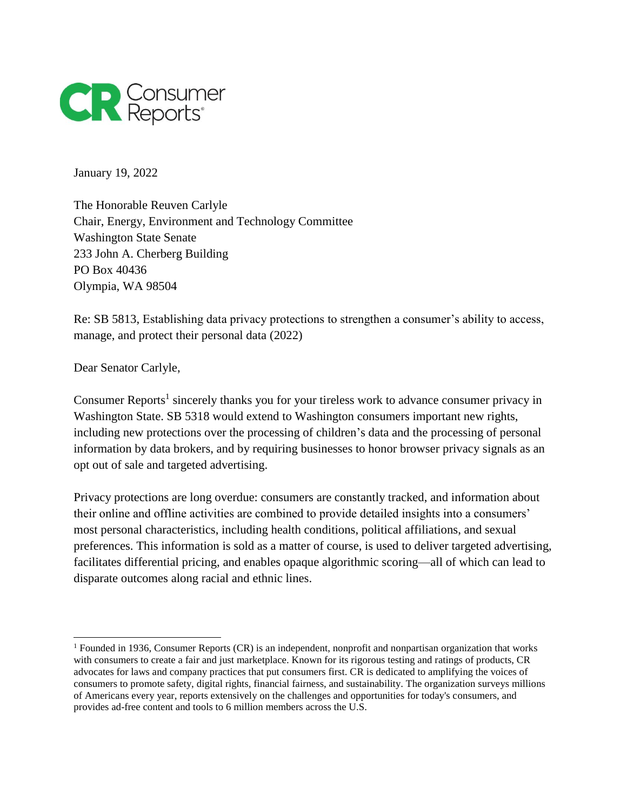

January 19, 2022

The Honorable Reuven Carlyle Chair, Energy, Environment and Technology Committee Washington State Senate 233 John A. Cherberg Building PO Box 40436 Olympia, WA 98504

Re: SB 5813, Establishing data privacy protections to strengthen a consumer's ability to access, manage, and protect their personal data (2022)

Dear Senator Carlyle,

Consumer Reports<sup>1</sup> sincerely thanks you for your tireless work to advance consumer privacy in Washington State. SB 5318 would extend to Washington consumers important new rights, including new protections over the processing of children's data and the processing of personal information by data brokers, and by requiring businesses to honor browser privacy signals as an opt out of sale and targeted advertising.

Privacy protections are long overdue: consumers are constantly tracked, and information about their online and offline activities are combined to provide detailed insights into a consumers' most personal characteristics, including health conditions, political affiliations, and sexual preferences. This information is sold as a matter of course, is used to deliver targeted advertising, facilitates differential pricing, and enables opaque algorithmic scoring—all of which can lead to disparate outcomes along racial and ethnic lines.

<sup>1</sup> Founded in 1936, Consumer Reports (CR) is an independent, nonprofit and nonpartisan organization that works with consumers to create a fair and just marketplace. Known for its rigorous testing and ratings of products, CR advocates for laws and company practices that put consumers first. CR is dedicated to amplifying the voices of consumers to promote safety, digital rights, financial fairness, and sustainability. The organization surveys millions of Americans every year, reports extensively on the challenges and opportunities for today's consumers, and provides ad-free content and tools to 6 million members across the U.S.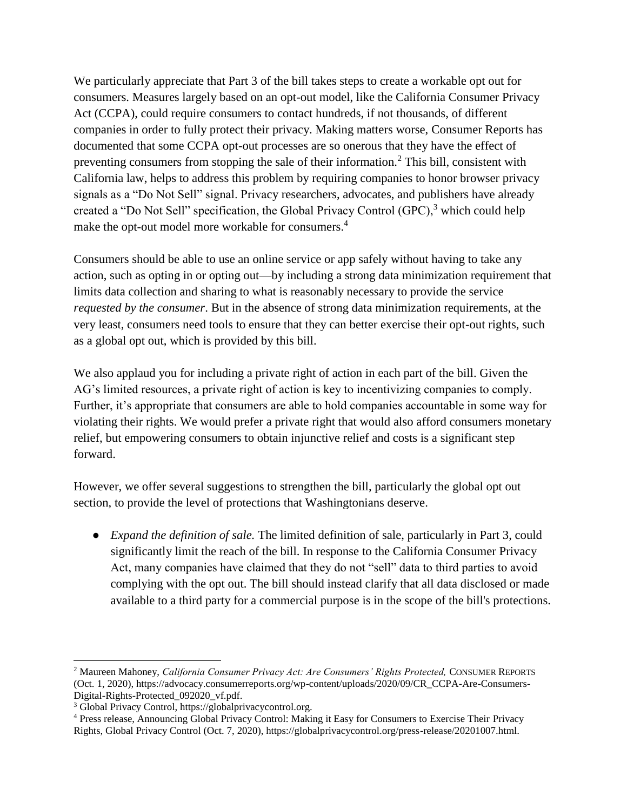We particularly appreciate that Part 3 of the bill takes steps to create a workable opt out for consumers. Measures largely based on an opt-out model, like the California Consumer Privacy Act (CCPA), could require consumers to contact hundreds, if not thousands, of different companies in order to fully protect their privacy. Making matters worse, Consumer Reports has documented that some CCPA opt-out processes are so onerous that they have the effect of preventing consumers from stopping the sale of their information.<sup>2</sup> This bill, consistent with California law, helps to address this problem by requiring companies to honor browser privacy signals as a "Do Not Sell" signal. Privacy researchers, advocates, and publishers have already created a "Do Not Sell" specification, the Global Privacy Control  $(GPC)$ , which could help make the opt-out model more workable for consumers.<sup>4</sup>

Consumers should be able to use an online service or app safely without having to take any action, such as opting in or opting out—by including a strong data minimization requirement that limits data collection and sharing to what is reasonably necessary to provide the service *requested by the consumer*. But in the absence of strong data minimization requirements, at the very least, consumers need tools to ensure that they can better exercise their opt-out rights, such as a global opt out, which is provided by this bill.

We also applaud you for including a private right of action in each part of the bill. Given the AG's limited resources, a private right of action is key to incentivizing companies to comply. Further, it's appropriate that consumers are able to hold companies accountable in some way for violating their rights. We would prefer a private right that would also afford consumers monetary relief, but empowering consumers to obtain injunctive relief and costs is a significant step forward.

However, we offer several suggestions to strengthen the bill, particularly the global opt out section, to provide the level of protections that Washingtonians deserve.

● *Expand the definition of sale.* The limited definition of sale, particularly in Part 3, could significantly limit the reach of the bill. In response to the California Consumer Privacy Act, many companies have claimed that they do not "sell" data to third parties to avoid complying with the opt out. The bill should instead clarify that all data disclosed or made available to a third party for a commercial purpose is in the scope of the bill's protections.

 $\overline{a}$ <sup>2</sup> Maureen Mahoney, *California Consumer Privacy Act: Are Consumers' Rights Protected,* CONSUMER REPORTS (Oct. 1, 2020), https://advocacy.consumerreports.org/wp-content/uploads/2020/09/CR\_CCPA-Are-Consumers-Digital-Rights-Protected\_092020\_vf.pdf.

<sup>3</sup> Global Privacy Control, https://globalprivacycontrol.org.

<sup>4</sup> Press release, Announcing Global Privacy Control: Making it Easy for Consumers to Exercise Their Privacy Rights, Global Privacy Control (Oct. 7, 2020), https://globalprivacycontrol.org/press-release/20201007.html.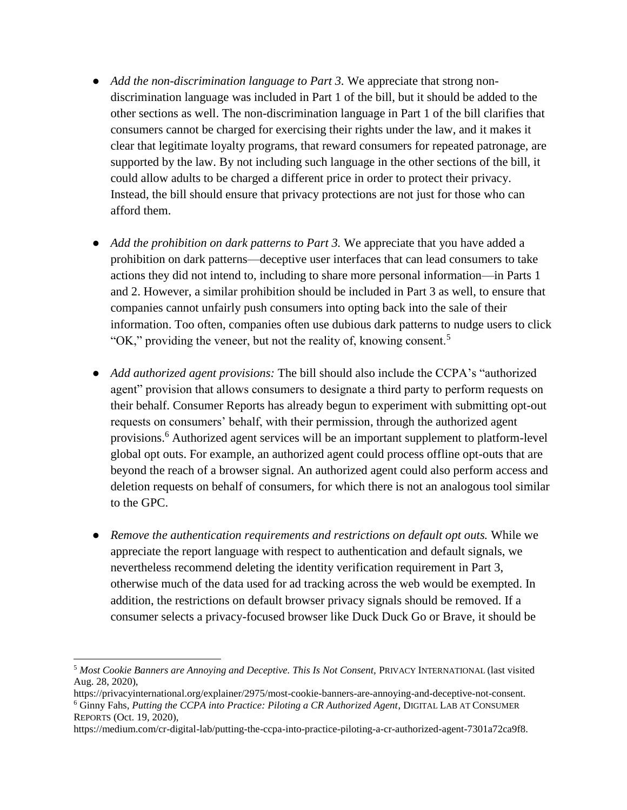- *Add the non-discrimination language to Part 3.* We appreciate that strong nondiscrimination language was included in Part 1 of the bill, but it should be added to the other sections as well. The non-discrimination language in Part 1 of the bill clarifies that consumers cannot be charged for exercising their rights under the law, and it makes it clear that legitimate loyalty programs, that reward consumers for repeated patronage, are supported by the law. By not including such language in the other sections of the bill, it could allow adults to be charged a different price in order to protect their privacy. Instead, the bill should ensure that privacy protections are not just for those who can afford them.
- Add the prohibition on dark patterns to Part 3. We appreciate that you have added a prohibition on dark patterns—deceptive user interfaces that can lead consumers to take actions they did not intend to, including to share more personal information—in Parts 1 and 2. However, a similar prohibition should be included in Part 3 as well, to ensure that companies cannot unfairly push consumers into opting back into the sale of their information. Too often, companies often use dubious dark patterns to nudge users to click "OK," providing the veneer, but not the reality of, knowing consent.<sup>5</sup>
- *Add authorized agent provisions:* The bill should also include the CCPA's "authorized" agent" provision that allows consumers to designate a third party to perform requests on their behalf. Consumer Reports has already begun to experiment with submitting opt-out requests on consumers' behalf, with their permission, through the authorized agent provisions.<sup>6</sup> Authorized agent services will be an important supplement to platform-level global opt outs. For example, an authorized agent could process offline opt-outs that are beyond the reach of a browser signal. An authorized agent could also perform access and deletion requests on behalf of consumers, for which there is not an analogous tool similar to the GPC.
- *Remove the authentication requirements and restrictions on default opt outs.* While we appreciate the report language with respect to authentication and default signals, we nevertheless recommend deleting the identity verification requirement in Part 3, otherwise much of the data used for ad tracking across the web would be exempted. In addition, the restrictions on default browser privacy signals should be removed. If a consumer selects a privacy-focused browser like Duck Duck Go or Brave, it should be

<sup>5</sup> *Most Cookie Banners are Annoying and Deceptive. This Is Not Consent,* PRIVACY INTERNATIONAL (last visited Aug. 28, 2020),

https://privacyinternational.org/explainer/2975/most-cookie-banners-are-annoying-and-deceptive-not-consent. <sup>6</sup> Ginny Fahs, *Putting the CCPA into Practice: Piloting a CR Authorized Agent*, DIGITAL LAB AT CONSUMER REPORTS (Oct. 19, 2020),

https://medium.com/cr-digital-lab/putting-the-ccpa-into-practice-piloting-a-cr-authorized-agent-7301a72ca9f8.